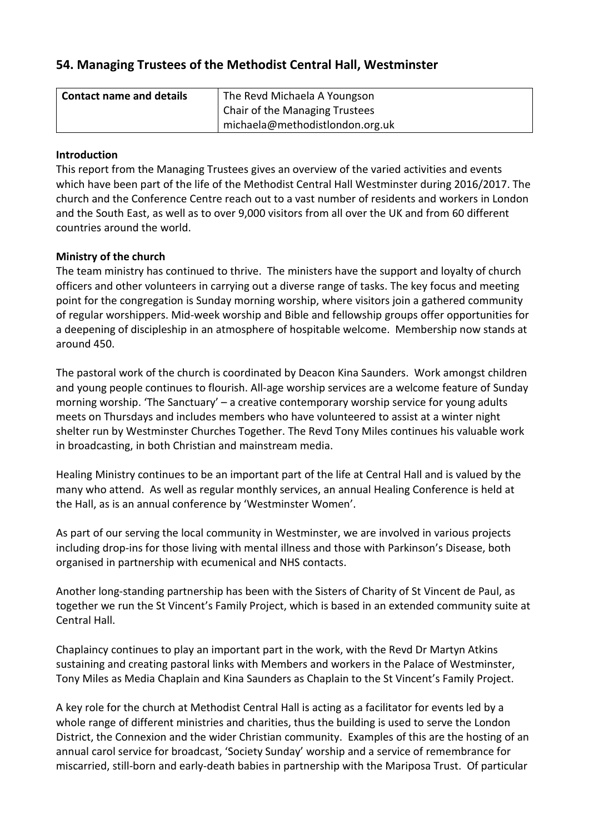# **54. Managing Trustees of the Methodist Central Hall, Westminster**

| <b>Contact name and details</b> | The Revd Michaela A Youngson    |
|---------------------------------|---------------------------------|
|                                 | Chair of the Managing Trustees  |
|                                 | michaela@methodistlondon.org.uk |

### **Introduction**

This report from the Managing Trustees gives an overview of the varied activities and events which have been part of the life of the Methodist Central Hall Westminster during 2016/2017. The church and the Conference Centre reach out to a vast number of residents and workers in London and the South East, as well as to over 9,000 visitors from all over the UK and from 60 different countries around the world.

# **Ministry of the church**

The team ministry has continued to thrive. The ministers have the support and loyalty of church officers and other volunteers in carrying out a diverse range of tasks. The key focus and meeting point for the congregation is Sunday morning worship, where visitors join a gathered community of regular worshippers. Mid-week worship and Bible and fellowship groups offer opportunities for a deepening of discipleship in an atmosphere of hospitable welcome. Membership now stands at around 450.

The pastoral work of the church is coordinated by Deacon Kina Saunders. Work amongst children and young people continues to flourish. All-age worship services are a welcome feature of Sunday morning worship. 'The Sanctuary' – a creative contemporary worship service for young adults meets on Thursdays and includes members who have volunteered to assist at a winter night shelter run by Westminster Churches Together. The Revd Tony Miles continues his valuable work in broadcasting, in both Christian and mainstream media.

Healing Ministry continues to be an important part of the life at Central Hall and is valued by the many who attend. As well as regular monthly services, an annual Healing Conference is held at the Hall, as is an annual conference by 'Westminster Women'.

As part of our serving the local community in Westminster, we are involved in various projects including drop-ins for those living with mental illness and those with Parkinson's Disease, both organised in partnership with ecumenical and NHS contacts.

Another long-standing partnership has been with the Sisters of Charity of St Vincent de Paul, as together we run the St Vincent's Family Project, which is based in an extended community suite at Central Hall.

Chaplaincy continues to play an important part in the work, with the Revd Dr Martyn Atkins sustaining and creating pastoral links with Members and workers in the Palace of Westminster, Tony Miles as Media Chaplain and Kina Saunders as Chaplain to the St Vincent's Family Project.

A key role for the church at Methodist Central Hall is acting as a facilitator for events led by a whole range of different ministries and charities, thus the building is used to serve the London District, the Connexion and the wider Christian community. Examples of this are the hosting of an annual carol service for broadcast, 'Society Sunday' worship and a service of remembrance for miscarried, still-born and early-death babies in partnership with the Mariposa Trust. Of particular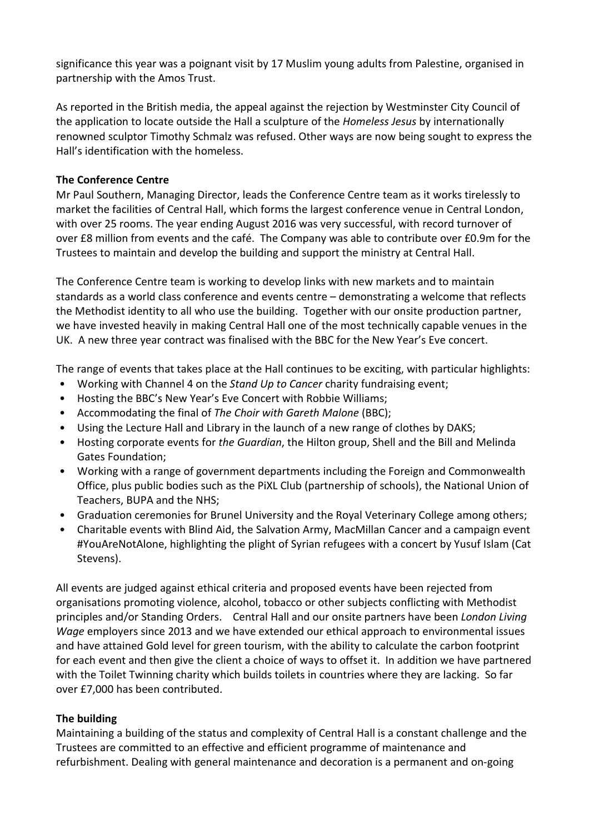significance this year was a poignant visit by 17 Muslim young adults from Palestine, organised in partnership with the Amos Trust.

As reported in the British media, the appeal against the rejection by Westminster City Council of the application to locate outside the Hall a sculpture of the *Homeless Jesus* by internationally renowned sculptor Timothy Schmalz was refused. Other ways are now being sought to express the Hall's identification with the homeless.

#### **The Conference Centre**

Mr Paul Southern, Managing Director, leads the Conference Centre team as it works tirelessly to market the facilities of Central Hall, which forms the largest conference venue in Central London, with over 25 rooms. The year ending August 2016 was very successful, with record turnover of over £8 million from events and the café. The Company was able to contribute over £0.9m for the Trustees to maintain and develop the building and support the ministry at Central Hall.

The Conference Centre team is working to develop links with new markets and to maintain standards as a world class conference and events centre – demonstrating a welcome that reflects the Methodist identity to all who use the building. Together with our onsite production partner, we have invested heavily in making Central Hall one of the most technically capable venues in the UK. A new three year contract was finalised with the BBC for the New Year's Eve concert.

The range of events that takes place at the Hall continues to be exciting, with particular highlights:

- Working with Channel 4 on the *Stand Up to Cancer* charity fundraising event;
- Hosting the BBC's New Year's Eve Concert with Robbie Williams;
- Accommodating the final of *The Choir with Gareth Malone* (BBC);
- Using the Lecture Hall and Library in the launch of a new range of clothes by DAKS;
- Hosting corporate events for *the Guardian*, the Hilton group, Shell and the Bill and Melinda Gates Foundation;
- Working with a range of government departments including the Foreign and Commonwealth Office, plus public bodies such as the PiXL Club (partnership of schools), the National Union of Teachers, BUPA and the NHS;
- Graduation ceremonies for Brunel University and the Royal Veterinary College among others;
- Charitable events with Blind Aid, the Salvation Army, MacMillan Cancer and a campaign event #YouAreNotAlone, highlighting the plight of Syrian refugees with a concert by Yusuf Islam (Cat Stevens).

All events are judged against ethical criteria and proposed events have been rejected from organisations promoting violence, alcohol, tobacco or other subjects conflicting with Methodist principles and/or Standing Orders. Central Hall and our onsite partners have been *London Living Wage* employers since 2013 and we have extended our ethical approach to environmental issues and have attained Gold level for green tourism, with the ability to calculate the carbon footprint for each event and then give the client a choice of ways to offset it. In addition we have partnered with the Toilet Twinning charity which builds toilets in countries where they are lacking. So far over £7,000 has been contributed.

### **The building**

Maintaining a building of the status and complexity of Central Hall is a constant challenge and the Trustees are committed to an effective and efficient programme of maintenance and refurbishment. Dealing with general maintenance and decoration is a permanent and on-going